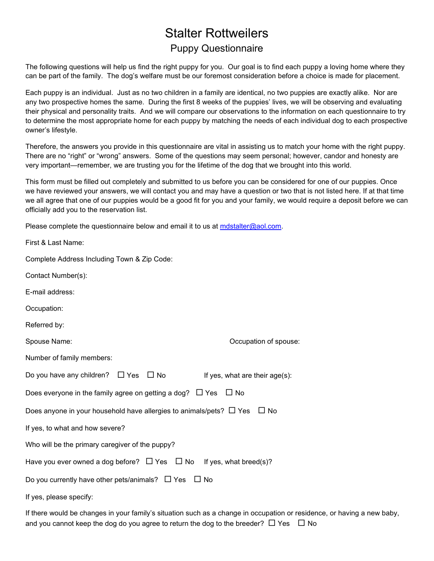## Stalter Rottweilers Puppy Questionnaire

The following questions will help us find the right puppy for you. Our goal is to find each puppy a loving home where they can be part of the family. The dog's welfare must be our foremost consideration before a choice is made for placement.

Each puppy is an individual. Just as no two children in a family are identical, no two puppies are exactly alike. Nor are any two prospective homes the same. During the first 8 weeks of the puppies' lives, we will be observing and evaluating their physical and personality traits. And we will compare our observations to the information on each questionnaire to try to determine the most appropriate home for each puppy by matching the needs of each individual dog to each prospective owner's lifestyle.

Therefore, the answers you provide in this questionnaire are vital in assisting us to match your home with the right puppy. There are no "right" or "wrong" answers. Some of the questions may seem personal; however, candor and honesty are very important—remember, we are trusting you for the lifetime of the dog that we brought into this world.

This form must be filled out completely and submitted to us before you can be considered for one of our puppies. Once we have reviewed your answers, we will contact you and may have a question or two that is not listed here. If at that time we all agree that one of our puppies would be a good fit for you and your family, we would require a deposit before we can officially add you to the reservation list.

Please complete the questionnaire below and email it to us at mdstalter@aol.com.

| First & Last Name:                                                                    |                                |
|---------------------------------------------------------------------------------------|--------------------------------|
| Complete Address Including Town & Zip Code:                                           |                                |
| Contact Number(s):                                                                    |                                |
| E-mail address:                                                                       |                                |
| Occupation:                                                                           |                                |
| Referred by:                                                                          |                                |
| Spouse Name:                                                                          | Occupation of spouse:          |
| Number of family members:                                                             |                                |
| Do you have any children? $\Box$ Yes $\Box$ No                                        | If yes, what are their age(s): |
| Does everyone in the family agree on getting a dog? $\Box$ Yes $\Box$ No              |                                |
| Does anyone in your household have allergies to animals/pets? $\Box$ Yes<br>$\Box$ No |                                |
| If yes, to what and how severe?                                                       |                                |
| Who will be the primary caregiver of the puppy?                                       |                                |
| Have you ever owned a dog before? $\Box$ Yes $\Box$ No If yes, what breed(s)?         |                                |
| Do you currently have other pets/animals? $\Box$ Yes $\Box$ No                        |                                |
| If yes, please specify:                                                               |                                |
|                                                                                       |                                |

If there would be changes in your family's situation such as a change in occupation or residence, or having a new baby, and you cannot keep the dog do you agree to return the dog to the breeder?  $\Box$  Yes  $\Box$  No